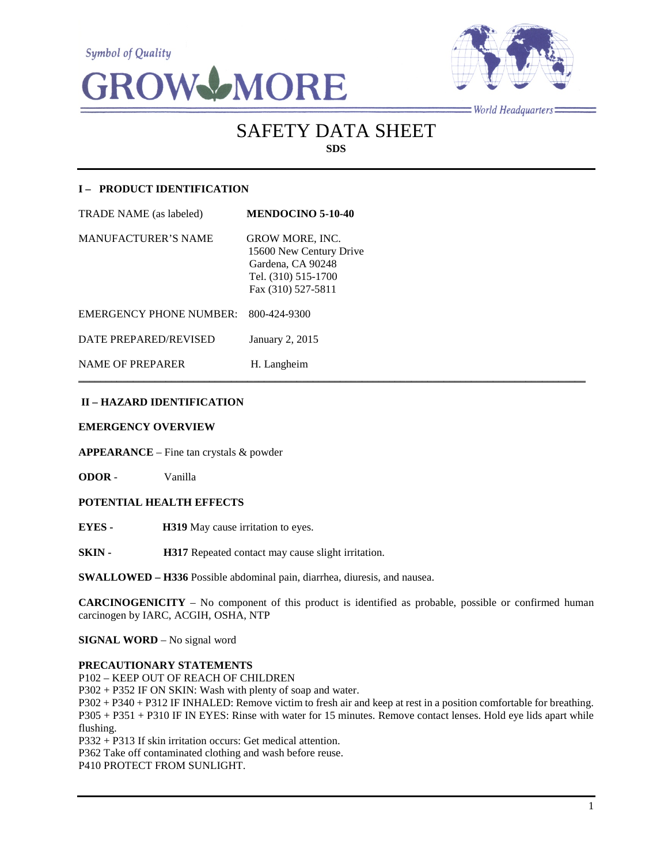**Symbol of Quality** 





 $=$ World Headquarters $=$ 

# SAFETY DATA SHEET **SDS**

# **I – PRODUCT IDENTIFICATION**

| <b>TRADE NAME</b> (as labeled) | <b>MENDOCINO 5-10-40</b>                                                                                            |
|--------------------------------|---------------------------------------------------------------------------------------------------------------------|
| <b>MANUFACTURER'S NAME</b>     | <b>GROW MORE, INC.</b><br>15600 New Century Drive<br>Gardena, CA 90248<br>Tel. (310) 515-1700<br>Fax (310) 527-5811 |
| <b>EMERGENCY PHONE NUMBER:</b> | 800-424-9300                                                                                                        |
| DATE PREPARED/REVISED          | January 2, 2015                                                                                                     |
| <b>NAME OF PREPARER</b>        | H. Langheim                                                                                                         |

# **II – HAZARD IDENTIFICATION**

## **EMERGENCY OVERVIEW**

**APPEARANCE** – Fine tan crystals & powder

**ODOR** - Vanilla

## **POTENTIAL HEALTH EFFECTS**

**EYES - H319** May cause irritation to eyes.

**SKIN - H317** Repeated contact may cause slight irritation.

**SWALLOWED – H336** Possible abdominal pain, diarrhea, diuresis, and nausea.

**CARCINOGENICITY** – No component of this product is identified as probable, possible or confirmed human carcinogen by IARC, ACGIH, OSHA, NTP

 $\mathcal{L}_\mathcal{L} = \mathcal{L}_\mathcal{L} = \mathcal{L}_\mathcal{L} = \mathcal{L}_\mathcal{L} = \mathcal{L}_\mathcal{L} = \mathcal{L}_\mathcal{L} = \mathcal{L}_\mathcal{L} = \mathcal{L}_\mathcal{L} = \mathcal{L}_\mathcal{L} = \mathcal{L}_\mathcal{L} = \mathcal{L}_\mathcal{L} = \mathcal{L}_\mathcal{L} = \mathcal{L}_\mathcal{L} = \mathcal{L}_\mathcal{L} = \mathcal{L}_\mathcal{L} = \mathcal{L}_\mathcal{L} = \mathcal{L}_\mathcal{L}$ 

**SIGNAL WORD** – No signal word

#### **PRECAUTIONARY STATEMENTS**

P102 – KEEP OUT OF REACH OF CHILDREN

P302 + P352 IF ON SKIN: Wash with plenty of soap and water.

P302 + P340 + P312 IF INHALED: Remove victim to fresh air and keep at rest in a position comfortable for breathing. P305 + P351 + P310 IF IN EYES: Rinse with water for 15 minutes. Remove contact lenses. Hold eye lids apart while flushing.

P332 + P313 If skin irritation occurs: Get medical attention.

P362 Take off contaminated clothing and wash before reuse.

P410 PROTECT FROM SUNLIGHT.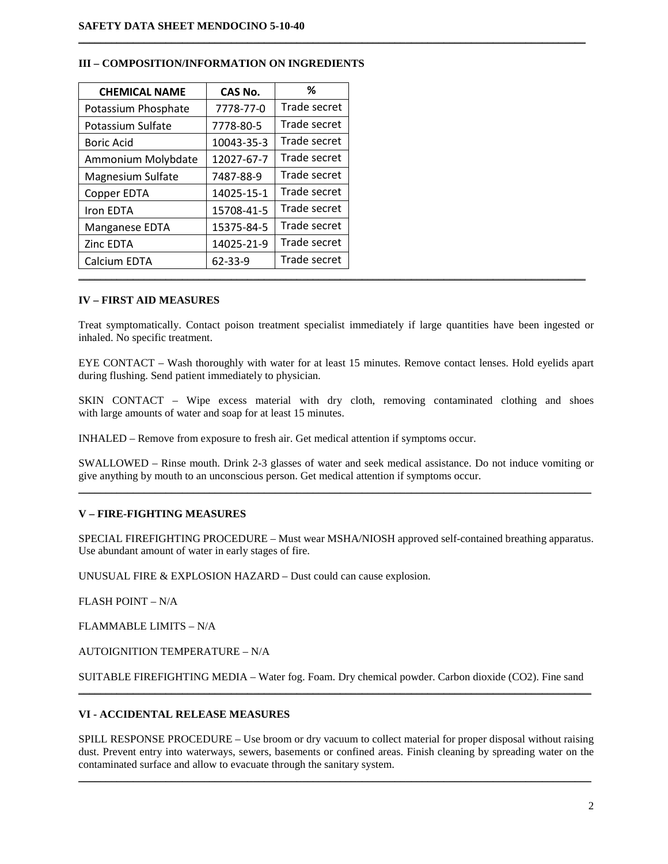| <b>CHEMICAL NAME</b> | CAS No.       | %            |
|----------------------|---------------|--------------|
| Potassium Phosphate  | 7778-77-0     | Trade secret |
| Potassium Sulfate    | 7778-80-5     | Trade secret |
| <b>Boric Acid</b>    | 10043-35-3    | Trade secret |
| Ammonium Molybdate   | 12027-67-7    | Trade secret |
| Magnesium Sulfate    | 7487-88-9     | Trade secret |
| Copper EDTA          | 14025-15-1    | Trade secret |
| Iron EDTA            | 15708-41-5    | Trade secret |
| Manganese EDTA       | 15375-84-5    | Trade secret |
| Zinc EDTA            | 14025-21-9    | Trade secret |
| Calcium EDTA         | $62 - 33 - 9$ | Trade secret |
|                      |               |              |

## **III – COMPOSITION/INFORMATION ON INGREDIENTS**

#### **IV – FIRST AID MEASURES**

Treat symptomatically. Contact poison treatment specialist immediately if large quantities have been ingested or inhaled. No specific treatment.

 $\mathcal{L}_\mathcal{L} = \{ \mathcal{L}_\mathcal{L} = \{ \mathcal{L}_\mathcal{L} = \{ \mathcal{L}_\mathcal{L} = \{ \mathcal{L}_\mathcal{L} = \{ \mathcal{L}_\mathcal{L} = \{ \mathcal{L}_\mathcal{L} = \{ \mathcal{L}_\mathcal{L} = \{ \mathcal{L}_\mathcal{L} = \{ \mathcal{L}_\mathcal{L} = \{ \mathcal{L}_\mathcal{L} = \{ \mathcal{L}_\mathcal{L} = \{ \mathcal{L}_\mathcal{L} = \{ \mathcal{L}_\mathcal{L} = \{ \mathcal{L}_\mathcal{$ 

EYE CONTACT – Wash thoroughly with water for at least 15 minutes. Remove contact lenses. Hold eyelids apart during flushing. Send patient immediately to physician.

SKIN CONTACT – Wipe excess material with dry cloth, removing contaminated clothing and shoes with large amounts of water and soap for at least 15 minutes.

INHALED – Remove from exposure to fresh air. Get medical attention if symptoms occur.

SWALLOWED – Rinse mouth. Drink 2-3 glasses of water and seek medical assistance. Do not induce vomiting or give anything by mouth to an unconscious person. Get medical attention if symptoms occur.  $\mathcal{L}_\mathcal{L} = \{ \mathcal{L}_\mathcal{L} = \{ \mathcal{L}_\mathcal{L} = \{ \mathcal{L}_\mathcal{L} = \{ \mathcal{L}_\mathcal{L} = \{ \mathcal{L}_\mathcal{L} = \{ \mathcal{L}_\mathcal{L} = \{ \mathcal{L}_\mathcal{L} = \{ \mathcal{L}_\mathcal{L} = \{ \mathcal{L}_\mathcal{L} = \{ \mathcal{L}_\mathcal{L} = \{ \mathcal{L}_\mathcal{L} = \{ \mathcal{L}_\mathcal{L} = \{ \mathcal{L}_\mathcal{L} = \{ \mathcal{L}_\mathcal{$ 

## **V – FIRE-FIGHTING MEASURES**

SPECIAL FIREFIGHTING PROCEDURE – Must wear MSHA/NIOSH approved self-contained breathing apparatus. Use abundant amount of water in early stages of fire.

UNUSUAL FIRE & EXPLOSION HAZARD – Dust could can cause explosion.

FLASH POINT – N/A

FLAMMABLE LIMITS – N/A

AUTOIGNITION TEMPERATURE – N/A

SUITABLE FIREFIGHTING MEDIA – Water fog. Foam. Dry chemical powder. Carbon dioxide (CO2). Fine sand \_\_\_\_\_\_\_\_\_\_\_\_\_\_\_\_\_\_\_\_\_\_\_\_\_\_\_\_\_\_\_\_\_\_\_\_\_\_\_\_\_\_\_\_\_\_\_\_\_\_\_\_\_\_\_\_\_\_\_\_\_\_\_\_\_\_\_\_\_\_\_\_\_\_\_\_\_\_\_\_\_\_\_\_\_\_\_\_\_\_\_\_\_\_

### **VI - ACCIDENTAL RELEASE MEASURES**

SPILL RESPONSE PROCEDURE – Use broom or dry vacuum to collect material for proper disposal without raising dust. Prevent entry into waterways, sewers, basements or confined areas. Finish cleaning by spreading water on the contaminated surface and allow to evacuate through the sanitary system.

 $\mathcal{L}_\mathcal{L} = \{ \mathcal{L}_\mathcal{L} = \{ \mathcal{L}_\mathcal{L} = \{ \mathcal{L}_\mathcal{L} = \{ \mathcal{L}_\mathcal{L} = \{ \mathcal{L}_\mathcal{L} = \{ \mathcal{L}_\mathcal{L} = \{ \mathcal{L}_\mathcal{L} = \{ \mathcal{L}_\mathcal{L} = \{ \mathcal{L}_\mathcal{L} = \{ \mathcal{L}_\mathcal{L} = \{ \mathcal{L}_\mathcal{L} = \{ \mathcal{L}_\mathcal{L} = \{ \mathcal{L}_\mathcal{L} = \{ \mathcal{L}_\mathcal{$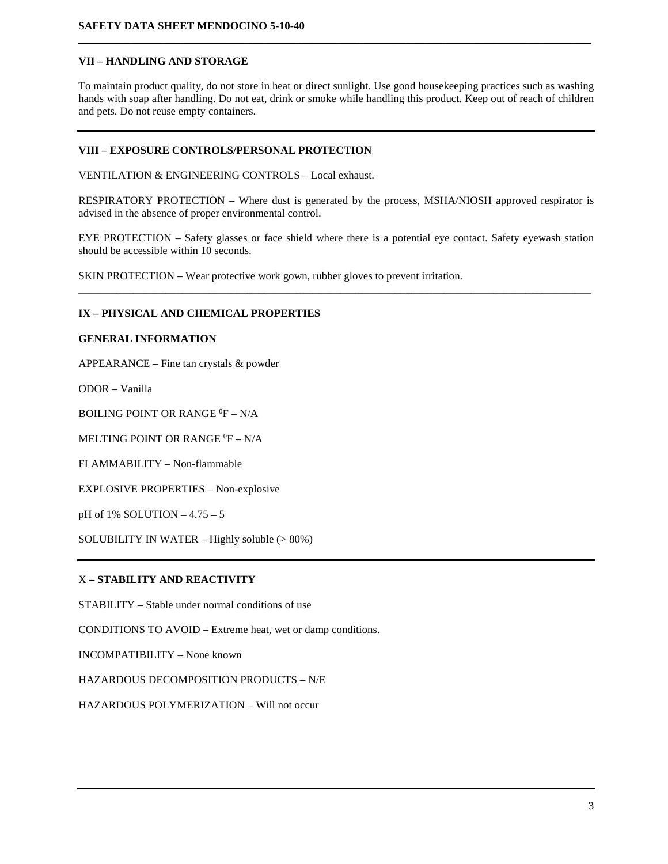## **VII – HANDLING AND STORAGE**

To maintain product quality, do not store in heat or direct sunlight. Use good housekeeping practices such as washing hands with soap after handling. Do not eat, drink or smoke while handling this product. Keep out of reach of children and pets. Do not reuse empty containers.

**\_\_\_\_\_\_\_\_\_\_\_\_\_\_\_\_\_\_\_\_\_\_\_\_\_\_\_\_\_\_\_\_\_\_\_\_\_\_\_\_\_\_\_\_\_\_\_\_\_\_\_\_\_\_\_\_\_\_\_\_\_\_\_\_\_\_\_\_\_\_\_\_\_\_\_\_\_\_\_\_\_\_\_\_\_\_\_\_\_\_\_\_\_\_**

# **VIII – EXPOSURE CONTROLS/PERSONAL PROTECTION**

VENTILATION & ENGINEERING CONTROLS – Local exhaust.

RESPIRATORY PROTECTION – Where dust is generated by the process, MSHA/NIOSH approved respirator is advised in the absence of proper environmental control.

EYE PROTECTION – Safety glasses or face shield where there is a potential eye contact. Safety eyewash station should be accessible within 10 seconds.

**\_\_\_\_\_\_\_\_\_\_\_\_\_\_\_\_\_\_\_\_\_\_\_\_\_\_\_\_\_\_\_\_\_\_\_\_\_\_\_\_\_\_\_\_\_\_\_\_\_\_\_\_\_\_\_\_\_\_\_\_\_\_\_\_\_\_\_\_\_\_\_\_\_\_\_\_\_\_\_\_\_\_\_\_\_\_\_\_\_\_\_\_\_\_**

SKIN PROTECTION – Wear protective work gown, rubber gloves to prevent irritation.

## **IX – PHYSICAL AND CHEMICAL PROPERTIES**

#### **GENERAL INFORMATION**

APPEARANCE – Fine tan crystals & powder

ODOR – Vanilla

BOILING POINT OR RANGE  ${}^{0}$ F – N/A

MELTING POINT OR RANGE  ${}^{0}\text{F} - \text{N/A}$ 

FLAMMABILITY – Non-flammable

EXPLOSIVE PROPERTIES – Non-explosive

pH of 1% SOLUTION – 4.75 – 5

SOLUBILITY IN WATER – Highly soluble (> 80%)

# X **– STABILITY AND REACTIVITY**

STABILITY – Stable under normal conditions of use

CONDITIONS TO AVOID – Extreme heat, wet or damp conditions.

INCOMPATIBILITY – None known

HAZARDOUS DECOMPOSITION PRODUCTS – N/E

HAZARDOUS POLYMERIZATION – Will not occur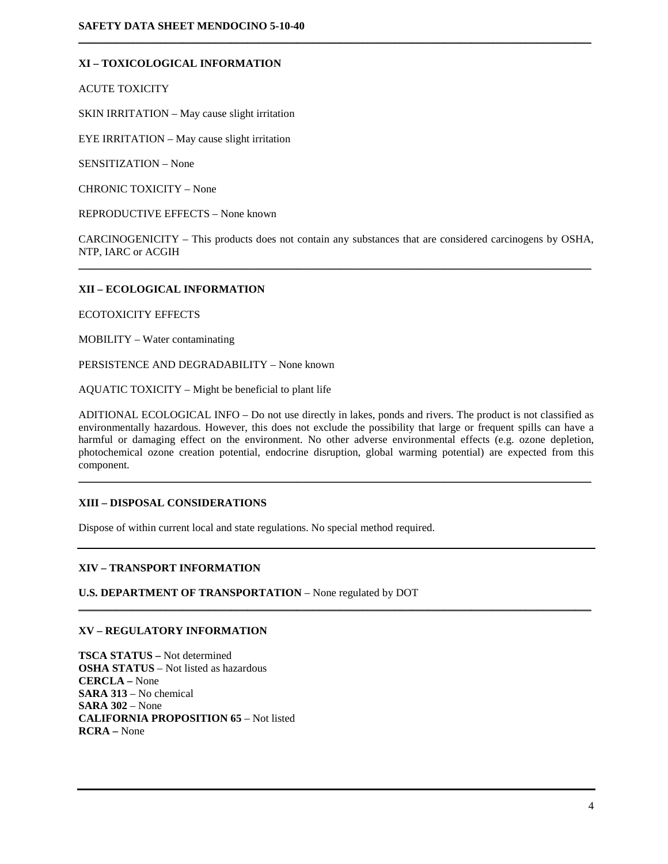# **XI – TOXICOLOGICAL INFORMATION**

ACUTE TOXICITY

SKIN IRRITATION – May cause slight irritation

EYE IRRITATION – May cause slight irritation

SENSITIZATION – None

CHRONIC TOXICITY – None

REPRODUCTIVE EFFECTS – None known

CARCINOGENICITY – This products does not contain any substances that are considered carcinogens by OSHA, NTP, IARC or ACGIH  $\mathcal{L}_\mathcal{L} = \{ \mathcal{L}_\mathcal{L} = \{ \mathcal{L}_\mathcal{L} = \{ \mathcal{L}_\mathcal{L} = \{ \mathcal{L}_\mathcal{L} = \{ \mathcal{L}_\mathcal{L} = \{ \mathcal{L}_\mathcal{L} = \{ \mathcal{L}_\mathcal{L} = \{ \mathcal{L}_\mathcal{L} = \{ \mathcal{L}_\mathcal{L} = \{ \mathcal{L}_\mathcal{L} = \{ \mathcal{L}_\mathcal{L} = \{ \mathcal{L}_\mathcal{L} = \{ \mathcal{L}_\mathcal{L} = \{ \mathcal{L}_\mathcal{$ 

 $\mathcal{L}_\mathcal{L} = \{ \mathcal{L}_\mathcal{L} = \{ \mathcal{L}_\mathcal{L} = \{ \mathcal{L}_\mathcal{L} = \{ \mathcal{L}_\mathcal{L} = \{ \mathcal{L}_\mathcal{L} = \{ \mathcal{L}_\mathcal{L} = \{ \mathcal{L}_\mathcal{L} = \{ \mathcal{L}_\mathcal{L} = \{ \mathcal{L}_\mathcal{L} = \{ \mathcal{L}_\mathcal{L} = \{ \mathcal{L}_\mathcal{L} = \{ \mathcal{L}_\mathcal{L} = \{ \mathcal{L}_\mathcal{L} = \{ \mathcal{L}_\mathcal{$ 

## **XII – ECOLOGICAL INFORMATION**

ECOTOXICITY EFFECTS

MOBILITY – Water contaminating

PERSISTENCE AND DEGRADABILITY – None known

AQUATIC TOXICITY – Might be beneficial to plant life

ADITIONAL ECOLOGICAL INFO – Do not use directly in lakes, ponds and rivers. The product is not classified as environmentally hazardous. However, this does not exclude the possibility that large or frequent spills can have a harmful or damaging effect on the environment. No other adverse environmental effects (e.g. ozone depletion, photochemical ozone creation potential, endocrine disruption, global warming potential) are expected from this component.

\_\_\_\_\_\_\_\_\_\_\_\_\_\_\_\_\_\_\_\_\_\_\_\_\_\_\_\_\_\_\_\_\_\_\_\_\_\_\_\_\_\_\_\_\_\_\_\_\_\_\_\_\_\_\_\_\_\_\_\_\_\_\_\_\_\_\_\_\_\_\_\_\_\_\_\_\_\_\_\_\_\_\_\_\_\_\_\_\_\_\_\_\_\_

\_\_\_\_\_\_\_\_\_\_\_\_\_\_\_\_\_\_\_\_\_\_\_\_\_\_\_\_\_\_\_\_\_\_\_\_\_\_\_\_\_\_\_\_\_\_\_\_\_\_\_\_\_\_\_\_\_\_\_\_\_\_\_\_\_\_\_\_\_\_\_\_\_\_\_\_\_\_\_\_\_\_\_\_\_\_\_\_\_\_\_\_\_\_

## **XIII – DISPOSAL CONSIDERATIONS**

Dispose of within current local and state regulations. No special method required.

## **XIV – TRANSPORT INFORMATION**

**U.S. DEPARTMENT OF TRANSPORTATION - None regulated by DOT** 

#### **XV – REGULATORY INFORMATION**

**TSCA STATUS –** Not determined **OSHA STATUS** – Not listed as hazardous **CERCLA –** None **SARA 313** – No chemical **SARA 302** – None **CALIFORNIA PROPOSITION 65** – Not listed **RCRA –** None